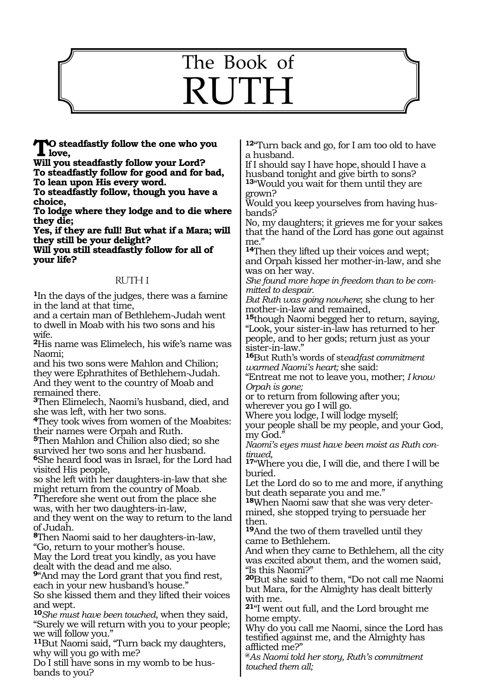# The Book of **RUTH**

**TO** steadfastly follow the one who you<br>love,<br>W<sup>211</sup> Fell readfastly follow your Lard?

**Will you steadfastly follow your Lord? To steadfastly follow for good and for bad,**

**To lean upon His every word.**

**To steadfastly follow, though you have a choice,**

**To lodge where they lodge and to die where they die;**

**Yes, if they are full! But what if a Mara; will they still be your delight?**

**Will you still steadfastly follow for all of your life?**

# RUTH 1

**<sup>1</sup>**In the days of the judges, there was a famine in the land at that time,

and a certain man of Bethlehem-Judah went to dwell in Moab with his two sons and his wife.

**<sup>2</sup>**His name was Elimelech, his wife's name was Naomi;

and his two sons were Mahlon and Chilion; they were Ephrathites of Bethlehem-Judah. And they went to the country of Moab and remained there.

**<sup>3</sup>**Then Elimelech, Naomi's husband, died, and she was left, with her two sons.

**<sup>4</sup>**They took wives from women of the Moabites: their names were Orpah and Ruth.

**<sup>5</sup>**Then Mahlon and Chilion also died; so she survived her two sons and her husband. **<sup>6</sup>**She heard food was in Israel, for the Lord had

visited His people, so she left with her daughters-in-law that she might return from the country of Moab.

**<sup>7</sup>**Therefore she went out from the place she was, with her two daughters-in-law,

and they went on the way to return to the land of Judah.

**<sup>8</sup>**Then Naomi said to her daughters-in-law, "Go, return to your mother's house.

May the Lord treat you kindly, as you have dealt with the dead and me also.

**<sup>9</sup>**"And may the Lord grant that you find rest, each in your new husband's house."

So she kissed them and they lifted their voices and wept.

**<sup>10</sup>***She must have been touched*, when they said, "Surely we will return with you to your people; we will follow you."

**<sup>11</sup>**But Naomi said, "Turn back my daughters, why will you go with me?

Do I still have sons in my womb to be husbands to you?

**<sup>12</sup>**"Turn back and go, for I am too old to have a husband.

If I should say I have hope,should I have a husband tonight and give birth to sons? **<sup>13</sup>**"Would you wait for them until they are grown?

Would you keep yourselves from having husbands?

No, my daughters; it grieves me for your sakes that the hand of the Lord has gone out against me."

**<sup>14</sup>**Then they lifted up their voices and wept; and Orpah kissed her mother-in-law, and she was on her way.

*She found more hope in freedom than to be committed to despair.*

*But Ruth was going nowhere*; she clung to her mother-in-law and remained,

**<sup>15</sup>**though Naomi begged her to return, saying, "Look, your sister-in-law has returned to her people, and to her gods; return just as your sister-in-law."

**<sup>16</sup>**But Ruth's words of st*eadfast commitment warmed Naomi's heart;* she said:

"Entreat me not to leave you, mother; *I know Orpah is gone;*

or to return from following after you; wherever you go I will go.

Where you lodge, I will lodge myself;

your people shall be my people, and your God, my God."

*Naomi's eyes must have been moist as Ruth continued,*

**<sup>17</sup>**"Where you die, I will die, and there I will be buried.

Let the Lord do so to me and more, if anything but death separate you and me."

**18**When Naomi saw that she was very determined, she stopped trying to persuade her then.

**<sup>19</sup>**And the two of them travelled until they came to Bethlehem.

And when they came to Bethlehem, all the city was excited about them, and the women said, "Is this Naomi?"

**<sup>20</sup>**But she said to them, "Do not call me Naomi but Mara, for the Almighty has dealt bitterly with me.

**<sup>21</sup>**"I went out full, and the Lord brought me home empty.

Why do you call me Naomi, since the Lord has testified against me, and the Almighty has afflicted me?"

**@***As Naomi told her story, Ruth's commitment touched them all;*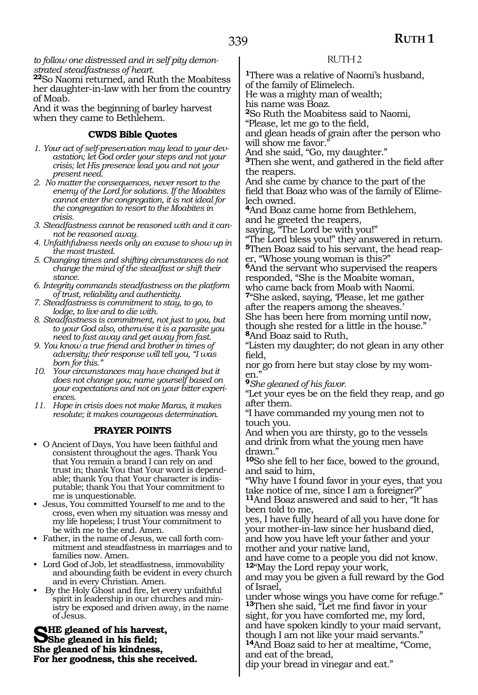*to follow one distressed and in self pity demonstrated steadfastness of heart.*

**<sup>22</sup>**So Naomi returned, and Ruth the Moabitess her daughter-in-law with her from the country of Moab.

And it was the beginning of barley harvest when they came to Bethlehem.

## **CWDS Bible Quotes**

- *1. Your act of self-preservation may lead to your devastation; let God order your steps and not your crisis; let His presence lead you and not your present need.*
- *2. No matter the consequences, never resort to the enemy of the Lord for solutions. If the Moabites cannot enter the congregation, it is not ideal for the congregation to resort to the Moabites in crisis.*
- *3. Steadfastness cannot be reasoned with and it cannot be reasoned away.*
- *4. Unfaithfulness needs only an excuse to show up in the most trusted.*
- *5. Changing times and shifting circumstances do not change the mind of the steadfast or shift their stance.*
- *6. Integrity commands steadfastness on the platform of trust, reliability and authenticity.*
- *7. Steadfastness is commitment to stay, to go, to lodge, to live and to die with.*
- *8. Steadfastness is commitment, not just to you, but to your God also, otherwise it is a parasite you need to fast away and get away from fast.*
- *9. You know a true friend and brother in times of adversity; their response will tell you, "I was born for this."*
- *10. Your circumstances may have changed but it does not change you; name yourself based on your expectations and not on your bitter experiences.*
- *11. Hope in crisis does not make Maras, it makes resolute; it makes courageous determination.*

#### **PRAYER POINTS**

- O Ancient of Days, You have been faithful and consistent throughout the ages. Thank You that You remain a brand I can rely on and trust in; thank You that Your word is dependable; thank You that Your character is indisputable; thank You that Your commitment to me is unquestionable.
- Jesus, You committed Yourself to me and to the cross, even when my situation was messy and my life hopeless; I trust Your commitment to be with me to the end. Amen.
- Father, in the name of Jesus, we call forth commitment and steadfastness in marriages and to families now. Amen.
- Lord God of Job, let steadfastness, immovability and abounding faith be evident in every church and in every Christian. Amen.
- By the Holy Ghost and fire, let every unfaithful spirit in leadership in our churches and ministry be exposed and driven away, in the name of Jesus.

**SHE gleaned of his harvest, She gleaned in his field; She gleaned of his kindness, For her goodness, this she received.**

## RUTH 2

**<sup>1</sup>**There was a relative of Naomi's husband, of the family of Elimelech.

He was a mighty man of wealth;

his name was Boaz.

**<sup>2</sup>**So Ruth the Moabitess said to Naomi,

"Please, let me go to the field,

and glean heads of grain after the person who will show me favor."

And she said, "Go, my daughter."

**<sup>3</sup>**Then she went, and gathered in the field after the reapers.

And she came by chance to the part of the field that Boaz who was of the family of Elimelech owned.

**<sup>4</sup>**And Boaz came home from Bethlehem, and he greeted the reapers,

saying, "The Lord be with you!"

"The Lord bless you!" they answered in return. **5**Then Boaz said to his servant, the head reaper, "Whose young woman is this?"

**<sup>6</sup>**And the servant who supervised the reapers responded, "She is the Moabite woman, who came back from Moab with Naomi.

**<sup>7</sup>**"She asked, saying, 'Please, let me gather after the reapers among the sheaves.'

She has been here from morning until now, though she rested for a little in the house." **<sup>8</sup>**And Boaz said to Ruth,

"Listen my daughter; do not glean in any other field,

nor go from here but stay close by my women."

**<sup>9</sup>***She gleaned of his favor.*

"Let your eyes be on the field they reap, and go after them.

"I have commanded my young men not to touch you.

And when you are thirsty, go to the vessels and drink from what the young men have drawn."

**<sup>10</sup>**So she fell to her face, bowed to the ground, and said to him,

"Why have I found favor in your eyes, that you take notice of me, since I am a foreigner?"

**<sup>11</sup>**And Boaz answered and said to her, "It has been told to me,

yes, I have fully heard of all you have done for your mother-in-law since her husband died, and how you have left your father and your mother and your native land,

and have come to a people you did not know. **<sup>12</sup>**"May the Lord repay your work,

and may you be given a full reward by the God of Israel,

under whose wings you have come for refuge." **<sup>13</sup>**Then she said, "Let me find favor in your sight, for you have comforted me, my lord, and have spoken kindly to your maid servant,

though I am not like your maid servants." **<sup>14</sup>**And Boaz said to her at mealtime, "Come, and eat of the bread,

dip your bread in vinegar and eat."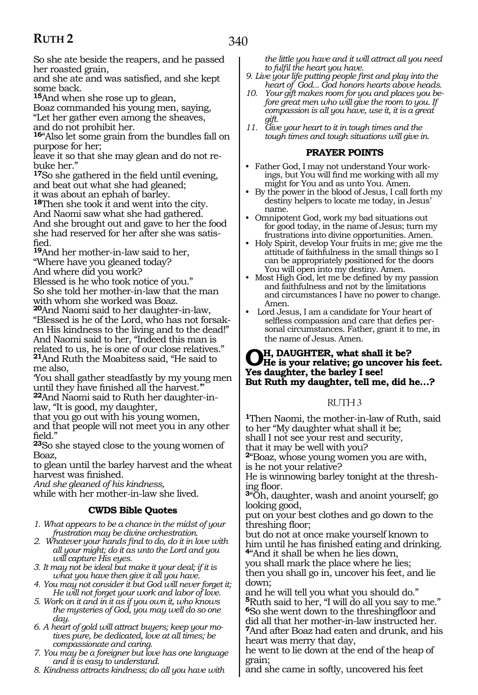So she ate beside the reapers, and he passed her roasted grain,

and she ate and was satisfied, and she kept some back.

**<sup>15</sup>**And when she rose up to glean,

Boaz commanded his young men, saying, "Let her gather even among the sheaves, and do not prohibit her.

**<sup>16</sup>**"Also let some grain from the bundles fall on purpose for her;

leave it so that she may glean and do not rebuke her."

**<sup>17</sup>**So she gathered in the field until evening, and beat out what she had gleaned; it was about an ephah of barley.

**<sup>18</sup>**Then she took it and went into the city. And Naomi saw what she had gathered. And she brought out and gave to her the food she had reserved for her after she was satisfied.

**<sup>19</sup>**And her mother-in-law said to her, "Where have you gleaned today? And where did you work?

Blessed is he who took notice of you." So she told her mother-in-law that the man with whom she worked was Boaz.

**<sup>20</sup>**And Naomi said to her daughter-in-law, "Blessed is he of the Lord, who has not forsaken His kindness to the living and to the dead!" And Naomi said to her, "Indeed this man is related to us, he is one of our close relatives." **<sup>21</sup>**And Ruth the Moabitess said, "He said to me also,

'You shall gather steadfastly by my young men until they have finished all the harvest.'"

**22**And Naomi said to Ruth her daughter-inlaw, "It is good, my daughter,

that you go out with his young women,

and that people will not meet you in any other field."

**<sup>23</sup>**So she stayed close to the young women of Boaz,

to glean until the barley harvest and the wheat harvest was finished.

*And she gleaned of his kindness,*

while with her mother-in-law she lived.

## **CWDS Bible Quotes**

- *1. What appears to be a chance in the midst of your frustration may be divine orchestration.*
- *2. Whatever your hands find to do, do it in love with all your might; do it as unto the Lord and you will capture His eyes.*
- *3. It may not be ideal but make it your deal; if it is what you have then give it all you have.*
- *4. You may not consider it but God will never forget it; He will not forget your work and labor of love.*
- *5. Work on it and in it as if you own it, who knows the mysteries of God, you may well do so one day.*

*6. A heart of gold will attract buyers; keep your motives pure, be dedicated, love at all times; be compassionate and caring.*

*7. You may be a foreigner but love has one language and it is easy to understand.*

*8. Kindness attracts kindness; do all you have with* 

*the little you have and it will attract all you need to fulfil the heart you have.*

- *9. Live your life putting people first and play into the heart of God... God honors hearts above heads.*
- *10. Your gift makes room for you and places you before great men who will give the room to you. If compassion is all you have, use it, it is a great gift.*
- *11. Give your heart to it in tough times and the tough times and tough situations will give in.*

# **PRAYER POINTS**

- Father God, I may not understand Your workings, but You will find me working with all my might for You and as unto You. Amen.
- By the power in the blood of Jesus, I call forth my destiny helpers to locate me today, in Jesus' name.
- Omnipotent God, work my bad situations out for good today, in the name of Jesus; turn my frustrations into divine opportunities. Amen.
- Holy Spirit, develop Your fruits in me; give me the attitude of faithfulness in the small things so I can be appropriately positioned for the doors You will open into my destiny. Amen.
- Most High God, let me be defined by my passion and faithfulness and not by the limitations and circumstances I have no power to change. Amen.
- Lord Jesus, I am a candidate for Your heart of selfless compassion and care that defies personal circumstances. Father, grant it to me, in the name of Jesus. Amen.

# **Oh, daughter, what shall it be? He is your relative; go uncover his feet. Yes daughter, the barley I see! But Ruth my daughter, tell me, did he…?**

# RUTH 3

**<sup>1</sup>**Then Naomi, the mother-in-law of Ruth, said to her "My daughter what shall it be; shall I not see your rest and security, that it may be well with you?

**<sup>2</sup>**"Boaz, whose young women you are with, is he not your relative?

He is winnowing barley tonight at the thresh- ing floor.

**<sup>3</sup>**"Oh, daughter, wash and anoint yourself; go looking good,

put on your best clothes and go down to the threshing floor;

but do not at once make yourself known to him until he has finished eating and drinking. **<sup>4</sup>**"And it shall be when he lies down,

you shall mark the place where he lies; then you shall go in, uncover his feet, and lie down;

and he will tell you what you should do." **<sup>5</sup>**Ruth said to her, "I will do all you say to me." **<sup>6</sup>**So she went down to the threshingfloor and did all that her mother-in-law instructed her. **<sup>7</sup>**And after Boaz had eaten and drunk, and his heart was merry that day,

he went to lie down at the end of the heap of grain;

and she came in softly, uncovered his feet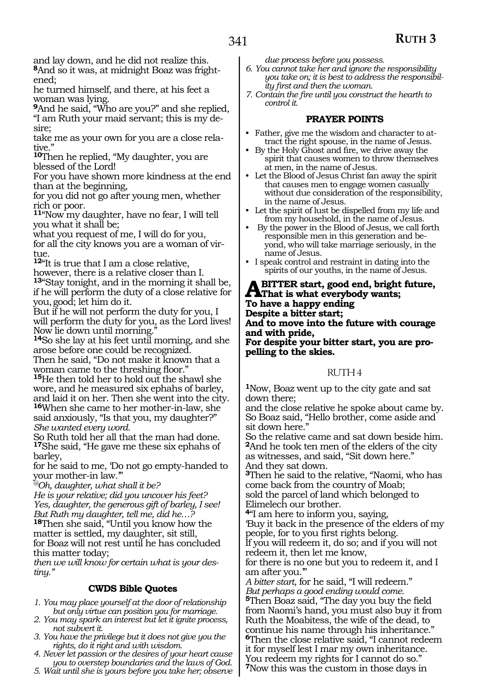and lay down, and he did not realize this. **8**And so it was, at midnight Boaz was frightened;

he turned himself, and there, at his feet a woman was lying.

**<sup>9</sup>**And he said, "Who are you?" and she replied, "I am Ruth your maid servant; this is my desire;

take me as your own for you are a close relative."

**<sup>10</sup>**Then he replied, "My daughter, you are blessed of the Lord!

For you have shown more kindness at the end than at the beginning,

for you did not go after young men, whether rich or poor.

**<sup>11</sup>**"Now my daughter, have no fear, I will tell you what it shall be;

what you request of me, I will do for you, for all the city knows you are a woman of virtue.

**<sup>12</sup>**"It is true that I am a close relative, however, there is a relative closer than I. **<sup>13</sup>**"Stay tonight, and in the morning it shall be, if he will perform the duty of a close relative for you,good; let him do it.

But if he will not perform the duty for you, I will perform the duty for you, as the Lord lives! Now lie down until morning."

**<sup>14</sup>**So she lay at his feet until morning, and she arose before one could be recognized. Then he said, "Do not make it known that a

woman came to the threshing floor." **<sup>15</sup>**He then told her to hold out the shawl she wore, and he measured six ephahs of barley, and laid it on her. Then she went into the city. **<sup>16</sup>**When she came to her mother-in-law, she said anxiously, "Is that you, my daughter?" *She wanted every word.*

So Ruth told her all that the man had done. **<sup>17</sup>**She said, "He gave me these six ephahs of barley,

for he said to me, 'Do not go empty-handed to your mother-in law.'"

*@Oh, daughter, what shall it be?*

*He is your relative; did you uncover his feet? Yes, daughter, the generous gift of barley, I see! But Ruth my daughter, tell me, did he…?* **<sup>18</sup>**Then she said, "Until you know how the

matter is settled, my daughter, sit still, for Boaz will not rest until he has concluded this matter today;

*then we will know for certain what is your destiny."*

# **CWDS Bible Quotes**

- *1. You may place yourself at the door of relationship but only virtue can position you for marriage.*
- *2. You may spark an interest but let it ignite process, not subvert it.*
- *3. You have the privilege but it does not give you the rights, do it right and with wisdom.*
- *4. Never let passion or the desires of your heart cause you to overstep boundaries and the laws of God.*
- *5. Wait until she is yours before you take her; observe*

*due process before you possess.*

- *6. You cannot take her and ignore the responsibility you take on; it is best to address the responsibility first and then the woman.*
- *7. Contain the fire until you construct the hearth to control it.*

## **PRAYER POINTS**

- Father, give me the wisdom and character to attract the right spouse, in the name of Jesus.
- By the Holy Ghost and fire, we drive away the spirit that causes women to throw themselves at men, in the name of Jesus.
- Let the Blood of Jesus Christ fan away the spirit that causes men to engage women casually without due consideration of the responsibility, in the name of Jesus.
- Let the spirit of lust be dispelled from my life and from my household, in the name of Jesus.
- By the power in the Blood of Jesus, we call forth responsible men in this generation and beyond, who will take marriage seriously, in the name of Jesus.
- I speak control and restraint in dating into the spirits of our youths, in the name of Jesus.

**A** BITTER start, good end, bright future,<br>That is what everybody wants;<br>To have a hanny ending **To have a happy ending Despite a bitter start; And to move into the future with courage and with pride, For despite your bitter start, you are propelling to the skies.** 

## RUTH 4

**<sup>1</sup>**Now, Boaz went up to the city gate and sat down there;

and the close relative he spoke about came by. So Boaz said, "Hello brother, come aside and sit down here."

So the relative came and sat down beside him. **<sup>2</sup>**And he took ten men of the elders of the city as witnesses, and said, "Sit down here." And they sat down.

**<sup>3</sup>**Then he said to the relative, "Naomi, who has come back from the country of Moab; sold the parcel of land which belonged to Elimelech our brother.

**<sup>4</sup>**"I am here to inform you, saying, 'Buy it back in the presence of the elders of my people, for to you first rights belong.

If you will redeem it, do so; and if you will not redeem it, then let me know,

for there is no one but you to redeem it, and I am after you.'"

*A bitter start*, for he said, "I will redeem." *But perhaps a good ending would come.*

**<sup>5</sup>**Then Boaz said, "The day you buy the field from Naomi's hand, you must also buy it from Ruth the Moabitess, the wife of the dead, to continue his name through his inheritance." **<sup>6</sup>**Then the close relative said, "I cannot redeem it for myself lest I mar my own inheritance. You redeem my rights for I cannot do so." **<sup>7</sup>**Now this was the custom in those days in